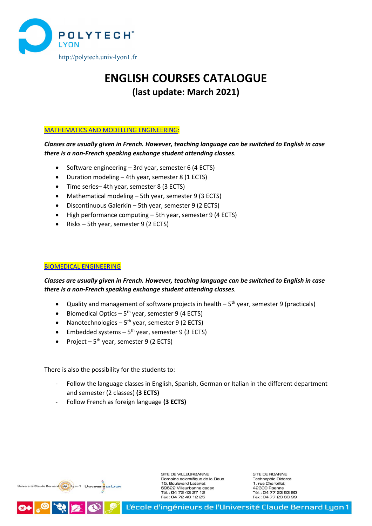

# **ENGLISH COURSES CATALOGUE (last update: March 2021)**

#### [MATHEMATICS AND MODELLING ENGINEERING:](#page-1-0)

# *Classes are usually given in French. However, teaching language can be switched to English in case there is a non-French speaking exchange student attending classes.*

- Software engineering 3rd year, semester 6 (4 ECTS)
- Duration modeling 4th year, semester 8 (1 ECTS)
- Time series– 4th year, semester 8 (3 ECTS)
- Mathematical modeling 5th year, semester 9 (3 ECTS)
- Discontinuous Galerkin 5th year, semester 9 (2 ECTS)
- High performance computing 5th year, semester 9 (4 ECTS)
- Risks 5th year, semester 9 (2 ECTS)

#### [BIOMEDICAL ENGINEERING](#page-5-0)

# *Classes are usually given in French. However, teaching language can be switched to English in case there is a non-French speaking exchange student attending classes.*

- Quality and management of software projects in health  $-5<sup>th</sup>$  year, semester 9 (practicals)
- Biomedical Optics  $5<sup>th</sup>$  year, semester 9 (4 ECTS)
- Nanotechnologies  $5<sup>th</sup>$  year, semester 9 (2 ECTS)
- Embedded systems  $-5<sup>th</sup>$  year, semester 9 (3 ECTS)
- Project  $5<sup>th</sup>$  year, semester 9 (2 ECTS)

There is also the possibility for the students to:

- Follow the language classes in English, Spanish, German or Italian in the different department and semester (2 classes) **(3 ECTS)**
- Follow French as foreign language **(3 ECTS)**



RIX

SITE DE VILLEURBANNE Domaine scientifique de la Doua 15, Boulevard Latarjet 69622 Villeurbanne cedex Tél.: 04 72 43 27 12<br>Fax: 04 72 43 12 25

SITE DE ROANNE Technopôle Diderot 1. rue Charbillot. 42300 Roanne Tél.: 04 77 23 63 90<br>Fax: 04 77 23 63 99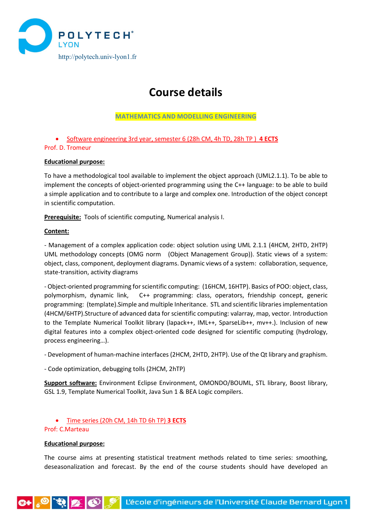

# **Course details**

## **MATHEMATICS AND MODELLING ENGINEERING**

<span id="page-1-0"></span>• Software engineering 3rd year, semester 6 (28h CM, 4h TD, 28h TP ) **4 ECTS** Prof. D. Tromeur

#### **Educational purpose:**

To have a methodological tool available to implement the object approach (UML2.1.1). To be able to implement the concepts of object-oriented programming using the C++ language: to be able to build a simple application and to contribute to a large and complex one. Introduction of the object concept in scientific computation.

**Prerequisite:** Tools of scientific computing, Numerical analysis I.

#### **Content:**

- Management of a complex application code: object solution using UML 2.1.1 (4HCM, 2HTD, 2HTP) UML methodology concepts (OMG norm (Object Management Group)). Static views of a system: object, class, component, deployment diagrams. Dynamic views of a system: collaboration, sequence, state-transition, activity diagrams

- Object-oriented programming forscientific computing: (16HCM, 16HTP). Basics of POO: object, class, polymorphism, dynamic link, C++ programming: class, operators, friendship concept, generic programming: (template).Simple and multiple Inheritance. STL and scientific libraries implementation (4HCM/6HTP).Structure of advanced data for scientific computing: valarray, map, vector. Introduction to the Template Numerical Toolkit library (lapack++, IML++, SparseLib++, mv++.). Inclusion of new digital features into a complex object-oriented code designed for scientific computing (hydrology, process engineering…).

- Development of human-machine interfaces (2HCM, 2HTD, 2HTP). Use of the Qt library and graphism.

- Code optimization, debugging tolls (2HCM, 2hTP)

**Support software:** Environment Eclipse Environment, OMONDO/BOUML, STL library, Boost library, GSL 1.9, Template Numerical Toolkit, Java Sun 1 & BEA Logic compilers.

• Time series (20h CM, 14h TD 6h TP) **3 ECTS**

# Prof: C.Marteau

# **Educational purpose:**

The course aims at presenting statistical treatment methods related to time series: smoothing, deseasonalization and forecast. By the end of the course students should have developed an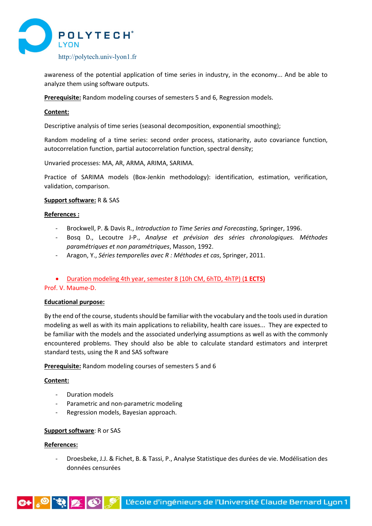

awareness of the potential application of time series in industry, in the economy... And be able to analyze them using software outputs.

**Prerequisite:** Random modeling courses of semesters 5 and 6, Regression models.

#### **Content:**

Descriptive analysis of time series (seasonal decomposition, exponential smoothing);

Random modeling of a time series: second order process, stationarity, auto covariance function, autocorrelation function, partial autocorrelation function, spectral density;

Unvaried processes: MA, AR, ARMA, ARIMA, SARIMA.

Practice of SARIMA models (Box-Jenkin methodology): identification, estimation, verification, validation, comparison.

#### **Support software:** R & SAS

#### **References :**

- Brockwell, P. & Davis R., *Introduction to Time Series and Forecasting*, Springer, 1996.
- Bosq D., Lecoutre J-P., *Analyse et prévision des séries chronologiques. Méthodes paramétriques et non paramétriques*, Masson, 1992.
- Aragon, Y., *Séries temporelles avec R : Méthodes et cas*, Springer, 2011.
- Duration modeling 4th year, semester 8 (10h CM, 6hTD, 4hTP) (**1 ECTS)**

#### Prof. V. Maume-D.

#### **Educational purpose:**

By the end of the course, students should be familiar with the vocabulary and the tools used in duration modeling as well as with its main applications to reliability, health care issues... They are expected to be familiar with the models and the associated underlying assumptions as well as with the commonly encountered problems. They should also be able to calculate standard estimators and interpret standard tests, using the R and SAS software

**Prerequisite:** Random modeling courses of semesters 5 and 6

#### **Content:**

- Duration models
- Parametric and non-parametric modeling
- Regression models, Bayesian approach.

#### **Support software**: R or SAS

#### **References:**

- Droesbeke, J.J. & Fichet, B. & Tassi, P., Analyse Statistique des durées de vie. Modélisation des données censurées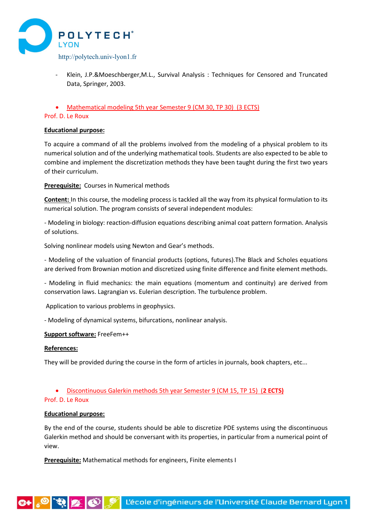

- Klein, J.P.&Moeschberger,M.L., Survival Analysis : Techniques for Censored and Truncated Data, Springer, 2003.
- Mathematical modeling 5th year Semester 9 (CM 30, TP 30) (3 ECTS)

## Prof. D. Le Roux

#### **Educational purpose:**

To acquire a command of all the problems involved from the modeling of a physical problem to its numerical solution and of the underlying mathematical tools. Students are also expected to be able to combine and implement the discretization methods they have been taught during the first two years of their curriculum.

**Prerequisite:** Courses in Numerical methods

**Content:** In this course, the modeling process is tackled all the way from its physical formulation to its numerical solution. The program consists of several independent modules:

- Modeling in biology: reaction-diffusion equations describing animal coat pattern formation. Analysis of solutions.

Solving nonlinear models using Newton and Gear's methods.

- Modeling of the valuation of financial products (options, futures).The Black and Scholes equations are derived from Brownian motion and discretized using finite difference and finite element methods.

- Modeling in fluid mechanics: the main equations (momentum and continuity) are derived from conservation laws. Lagrangian vs. Eulerian description. The turbulence problem.

Application to various problems in geophysics.

- Modeling of dynamical systems, bifurcations, nonlinear analysis.

#### **Support software:** FreeFem++

#### **References:**

They will be provided during the course in the form of articles in journals, book chapters, etc...

# • Discontinuous Galerkin methods 5th year Semester 9 (CM 15, TP 15) (**2 ECTS)**

#### Prof. D. Le Roux

#### **Educational purpose:**

By the end of the course, students should be able to discretize PDE systems using the discontinuous Galerkin method and should be conversant with its properties, in particular from a numerical point of view.

**Prerequisite:** Mathematical methods for engineers, Finite elements I

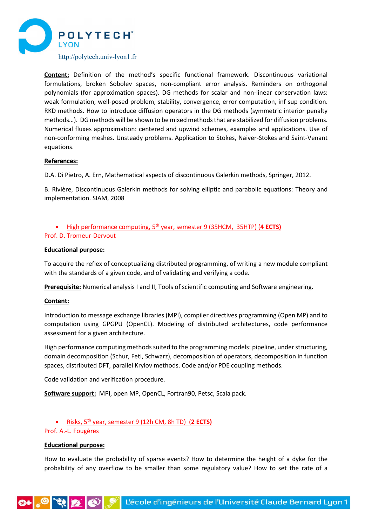

**Content:** Definition of the method's specific functional framework. Discontinuous variational formulations, broken Sobolev spaces, non-compliant error analysis. Reminders on orthogonal polynomials (for approximation spaces). DG methods for scalar and non-linear conservation laws: weak formulation, well-posed problem, stability, convergence, error computation, inf sup condition. RKD methods. How to introduce diffusion operators in the DG methods (symmetric interior penalty methods…). DG methods will be shown to be mixed methods that are stabilized for diffusion problems. Numerical fluxes approximation: centered and upwind schemes, examples and applications. Use of non-conforming meshes. Unsteady problems. Application to Stokes, Naiver-Stokes and Saint-Venant equations.

#### **References:**

D.A. Di Pietro, A. Ern, Mathematical aspects of discontinuous Galerkin methods, Springer, 2012.

B. Rivière, Discontinuous Galerkin methods for solving elliptic and parabolic equations: Theory and implementation. SIAM, 2008

# • High performance computing, 5th year, semester 9 (35HCM, 35HTP) (**4 ECTS)**

#### Prof. D. Tromeur-Dervout

#### **Educational purpose:**

To acquire the reflex of conceptualizing distributed programming, of writing a new module compliant with the standards of a given code, and of validating and verifying a code.

**Prerequisite:** Numerical analysis I and II, Tools of scientific computing and Software engineering.

#### **Content:**

Introduction to message exchange libraries (MPI), compiler directives programming (Open MP) and to computation using GPGPU (OpenCL). Modeling of distributed architectures, code performance assessment for a given architecture.

High performance computing methods suited to the programming models: pipeline, under structuring, domain decomposition (Schur, Feti, Schwarz), decomposition of operators, decomposition in function spaces, distributed DFT, parallel Krylov methods. Code and/or PDE coupling methods.

Code validation and verification procedure.

**Software support:** MPI, open MP, OpenCL, Fortran90, Petsc, Scala pack.

• Risks, 5th year, semester 9 (12h CM, 8h TD) (**2 ECTS)**

#### Prof. A.-L. Fougères

#### **Educational purpose:**

How to evaluate the probability of sparse events? How to determine the height of a dyke for the probability of any overflow to be smaller than some regulatory value? How to set the rate of a

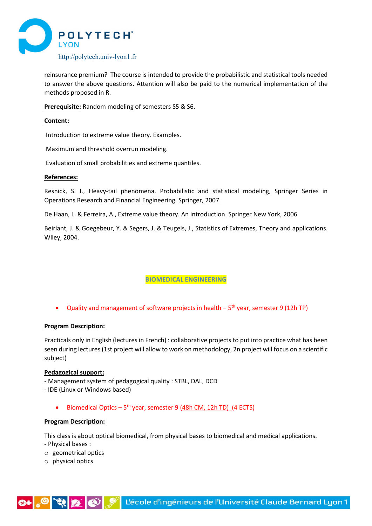

reinsurance premium? The course is intended to provide the probabilistic and statistical tools needed to answer the above questions. Attention will also be paid to the numerical implementation of the methods proposed in R.

**Prerequisite:** Random modeling of semesters S5 & S6.

#### **Content:**

Introduction to extreme value theory. Examples.

Maximum and threshold overrun modeling.

Evaluation of small probabilities and extreme quantiles.

## **References:**

Resnick, S. I., Heavy-tail phenomena. Probabilistic and statistical modeling, Springer Series in Operations Research and Financial Engineering. Springer, 2007.

De Haan, L. & Ferreira, A., Extreme value theory. An introduction. Springer New York, 2006

Beirlant, J. & Goegebeur, Y. & Segers, J. & Teugels, J., Statistics of Extremes, Theory and applications. Wiley, 2004.

# **BIOMEDICAL ENGINEERING**

<span id="page-5-0"></span>• Quality and management of software projects in health  $-5<sup>th</sup>$  year, semester 9 (12h TP)

#### **Program Description:**

Practicals only in English (lectures in French) : collaborative projects to put into practice what has been seen during lectures (1st project will allow to work on methodology, 2n project will focus on a scientific subject)

#### **Pedagogical support:**

- Management system of pedagogical quality : STBL, DAL, DCD
- IDE (Linux or Windows based)
	- Biomedical Optics  $5<sup>th</sup>$  year, semester 9 (48h CM, 12h TD) (4 ECTS)

#### **Program Description:**

This class is about optical biomedical, from physical bases to biomedical and medical applications.

- Physical bases :
- o geometrical optics
- o physical optics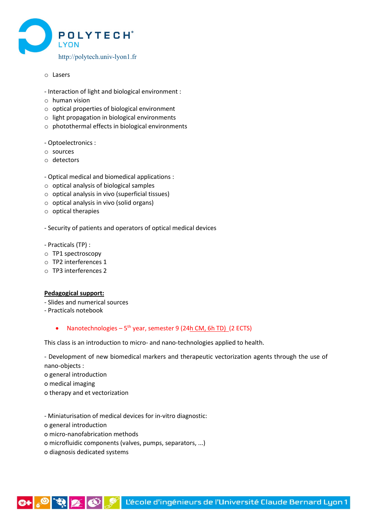

- o Lasers
- Interaction of light and biological environment :
- o human vision
- o optical properties of biological environment
- o light propagation in biological environments
- o photothermal effects in biological environments
- Optoelectronics :
- o sources
- o detectors
- Optical medical and biomedical applications :
- o optical analysis of biological samples
- o optical analysis in vivo (superficial tissues)
- o optical analysis in vivo (solid organs)
- o optical therapies
- Security of patients and operators of optical medical devices
- Practicals (TP) :
- o TP1 spectroscopy
- o TP2 interferences 1
- o TP3 interferences 2

#### **Pedagogical support:**

- Slides and numerical sources
- Practicals notebook
	- Nanotechnologies  $5<sup>th</sup>$  year, semester 9 (24h CM, 6h TD) (2 ECTS)

This class is an introduction to micro- and nano-technologies applied to health.

- Development of new biomedical markers and therapeutic vectorization agents through the use of nano-objects :

o general introduction

- o medical imaging
- o therapy and et vectorization
- Miniaturisation of medical devices for in-vitro diagnostic:
- o general introduction
- o micro-nanofabrication methods
- o microfluidic components (valves, pumps, separators, ...)
- o diagnosis dedicated systems